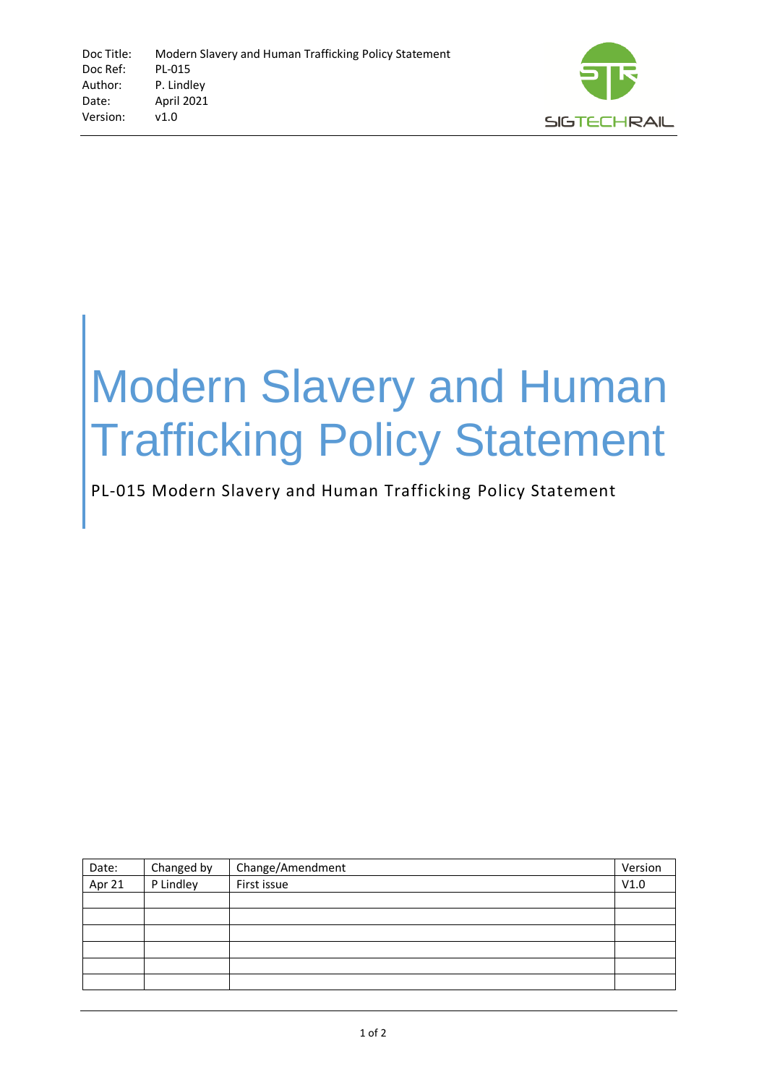

## Modern Slavery and Human Trafficking Policy Statement

## PL-015 Modern Slavery and Human Trafficking Policy Statement

| Date:  | Changed by | Change/Amendment | Version |
|--------|------------|------------------|---------|
| Apr 21 | P Lindley  | First issue      | V1.0    |
|        |            |                  |         |
|        |            |                  |         |
|        |            |                  |         |
|        |            |                  |         |
|        |            |                  |         |
|        |            |                  |         |